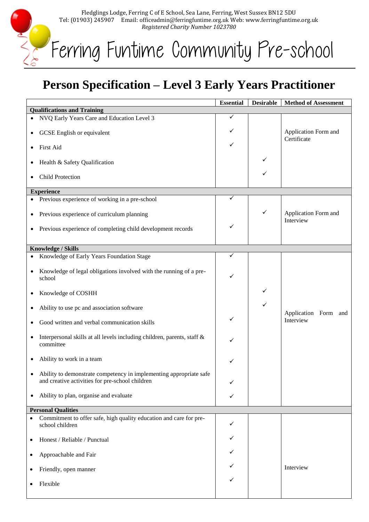Fledglings Lodge, Ferring C of E School, Sea Lane, Ferring, West Sussex BN12 5DU Tel: (01903) 245907 Email: officeadmin@ferringfuntime.org.uk Web: www.ferringfuntime.org.uk *Registered Charity Number 1023780*

Ferring Funtime Community Pre-school

E

## **Person Specification – Level 3 Early Years Practitioner**

|                                    |                                                                                                                       | <b>Essential</b> | <b>Desirable</b> | <b>Method of Assessment</b>       |  |  |
|------------------------------------|-----------------------------------------------------------------------------------------------------------------------|------------------|------------------|-----------------------------------|--|--|
| <b>Qualifications and Training</b> |                                                                                                                       |                  |                  |                                   |  |  |
|                                    | • NVQ Early Years Care and Education Level 3                                                                          | ✓                |                  |                                   |  |  |
|                                    |                                                                                                                       | ✓                |                  | Application Form and              |  |  |
|                                    | GCSE English or equivalent                                                                                            |                  |                  | Certificate                       |  |  |
|                                    | First Aid                                                                                                             | ✓                |                  |                                   |  |  |
|                                    |                                                                                                                       |                  | ✓                |                                   |  |  |
|                                    | Health & Safety Qualification                                                                                         |                  |                  |                                   |  |  |
|                                    | <b>Child Protection</b>                                                                                               |                  | ✓                |                                   |  |  |
| <b>Experience</b>                  |                                                                                                                       |                  |                  |                                   |  |  |
|                                    | • Previous experience of working in a pre-school                                                                      | ✓                |                  |                                   |  |  |
|                                    |                                                                                                                       |                  |                  |                                   |  |  |
| ٠                                  | Previous experience of curriculum planning                                                                            |                  | ✓                | Application Form and<br>Interview |  |  |
| ٠                                  | Previous experience of completing child development records                                                           | ✓                |                  |                                   |  |  |
|                                    |                                                                                                                       |                  |                  |                                   |  |  |
|                                    | <b>Knowledge / Skills</b>                                                                                             |                  |                  |                                   |  |  |
|                                    |                                                                                                                       | ✓                |                  |                                   |  |  |
| ٠                                  | Knowledge of Early Years Foundation Stage                                                                             |                  |                  |                                   |  |  |
| $\bullet$                          | Knowledge of legal obligations involved with the running of a pre-                                                    |                  |                  |                                   |  |  |
|                                    | school                                                                                                                | ✓                |                  |                                   |  |  |
|                                    |                                                                                                                       |                  | ✓                |                                   |  |  |
| ٠                                  | Knowledge of COSHH                                                                                                    |                  |                  |                                   |  |  |
|                                    | Ability to use pc and association software                                                                            |                  | ✓                |                                   |  |  |
|                                    |                                                                                                                       |                  |                  | Application Form and              |  |  |
|                                    | Good written and verbal communication skills                                                                          |                  |                  | Interview                         |  |  |
|                                    |                                                                                                                       |                  |                  |                                   |  |  |
|                                    | Interpersonal skills at all levels including children, parents, staff &<br>committee                                  | ✓                |                  |                                   |  |  |
|                                    |                                                                                                                       |                  |                  |                                   |  |  |
| ٠                                  | Ability to work in a team                                                                                             |                  |                  |                                   |  |  |
|                                    |                                                                                                                       |                  |                  |                                   |  |  |
|                                    | Ability to demonstrate competency in implementing appropriate safe<br>and creative activities for pre-school children |                  |                  |                                   |  |  |
|                                    |                                                                                                                       | ✓                |                  |                                   |  |  |
| ٠                                  | Ability to plan, organise and evaluate                                                                                | ✓                |                  |                                   |  |  |
|                                    |                                                                                                                       |                  |                  |                                   |  |  |
|                                    | <b>Personal Qualities</b>                                                                                             |                  |                  |                                   |  |  |
| $\bullet$                          | Commitment to offer safe, high quality education and care for pre-<br>school children                                 | ✓                |                  |                                   |  |  |
|                                    |                                                                                                                       |                  |                  |                                   |  |  |
| ٠                                  | Honest / Reliable / Punctual                                                                                          |                  |                  |                                   |  |  |
|                                    |                                                                                                                       |                  |                  |                                   |  |  |
|                                    | Approachable and Fair                                                                                                 |                  |                  |                                   |  |  |
|                                    | Friendly, open manner                                                                                                 |                  |                  | Interview                         |  |  |
|                                    |                                                                                                                       |                  |                  |                                   |  |  |
|                                    | Flexible                                                                                                              |                  |                  |                                   |  |  |
|                                    |                                                                                                                       |                  |                  |                                   |  |  |